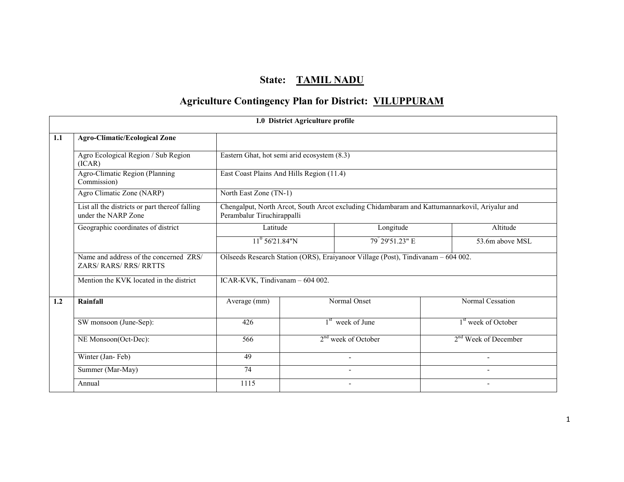## State: TAMIL NADU

# Agriculture Contingency Plan for District: VILUPPURAM

|     |                                                                       |                                             | 1.0 District Agriculture profile |                                                                                   |                                                                                               |
|-----|-----------------------------------------------------------------------|---------------------------------------------|----------------------------------|-----------------------------------------------------------------------------------|-----------------------------------------------------------------------------------------------|
| 1.1 | <b>Agro-Climatic/Ecological Zone</b>                                  |                                             |                                  |                                                                                   |                                                                                               |
|     | Agro Ecological Region / Sub Region<br>(ICAR)                         | Eastern Ghat, hot semi arid ecosystem (8.3) |                                  |                                                                                   |                                                                                               |
|     | Agro-Climatic Region (Planning<br>Commission)                         | East Coast Plains And Hills Region (11.4)   |                                  |                                                                                   |                                                                                               |
|     | Agro Climatic Zone (NARP)                                             | North East Zone (TN-1)                      |                                  |                                                                                   |                                                                                               |
|     | List all the districts or part thereof falling<br>under the NARP Zone | Perambalur Tiruchirappalli                  |                                  |                                                                                   | Chengalput, North Arcot, South Arcot excluding Chidambaram and Kattumannarkovil, Ariyalur and |
|     | Geographic coordinates of district                                    | Latitude                                    |                                  | Longitude                                                                         | Altitude                                                                                      |
|     |                                                                       | $11^{\circ}$ 56'21.84"N                     |                                  | 79° 29' 51.23" E                                                                  | 53.6m above MSL                                                                               |
|     | Name and address of the concerned ZRS/<br>ZARS/RARS/RRS/RRTTS         |                                             |                                  | Oilseeds Research Station (ORS), Eraiyanoor Village (Post), Tindivanam - 604 002. |                                                                                               |
|     | Mention the KVK located in the district                               | ICAR-KVK, Tindivanam - 604 002.             |                                  |                                                                                   |                                                                                               |
| 1.2 | Rainfall                                                              | Average (mm)                                |                                  | Normal Onset                                                                      | Normal Cessation                                                                              |
|     | SW monsoon (June-Sep):                                                | 426                                         |                                  | $1st$ week of June                                                                | 1 <sup>st</sup> week of October                                                               |
|     | NE Monsoon(Oct-Dec):                                                  | 566                                         |                                  | 2 <sup>nd</sup> week of October                                                   | 2 <sup>nd</sup> Week of December                                                              |
|     | Winter (Jan-Feb)                                                      | 49                                          |                                  |                                                                                   |                                                                                               |
|     | Summer (Mar-May)                                                      | $\overline{74}$                             |                                  |                                                                                   |                                                                                               |
|     | Annual                                                                | 1115                                        |                                  |                                                                                   |                                                                                               |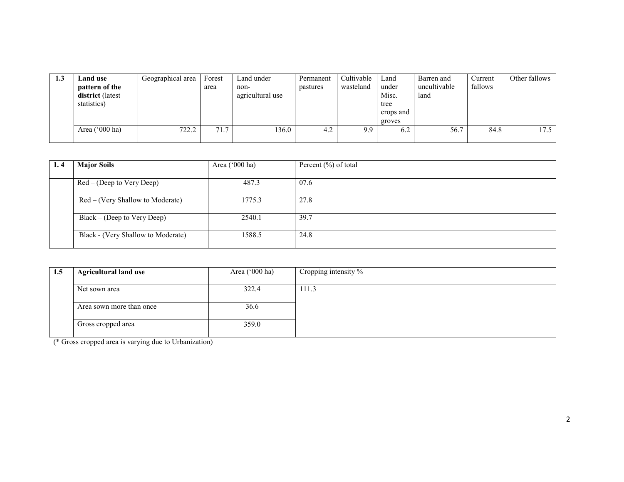| 1.3 | Land use<br>pattern of the<br>district (latest<br>statistics) | Geographical area | Forest<br>area | Land under<br>non-<br>agricultural use | Permanent<br>pastures | Cultivable<br>wasteland | Land<br>under<br>Misc.<br>tree<br>crops and<br>groves | Barren and<br>uncultivable<br>land | Current<br>fallows | Other fallows |
|-----|---------------------------------------------------------------|-------------------|----------------|----------------------------------------|-----------------------|-------------------------|-------------------------------------------------------|------------------------------------|--------------------|---------------|
|     | Area $('000 ha)$                                              | 722.2             | 71.7           | 136.0                                  | 4.2                   | 9.9                     | 6.2                                                   | 56.7                               | 84.8               | 17.5          |

| 1.4 | <b>Major Soils</b>                 | Area $('000 ha)$ | Percent (%) of total |
|-----|------------------------------------|------------------|----------------------|
|     |                                    |                  |                      |
|     | $Red - (Deep to Very Deep)$        | 487.3            | 07.6                 |
|     | Red – (Very Shallow to Moderate)   | 1775.3           | 27.8                 |
|     | $Black - (Deep to Very Deep)$      | 2540.1           | 39.7                 |
|     | Black - (Very Shallow to Moderate) | 1588.5           | 24.8                 |

| 1.5 | <b>Agricultural land use</b> | Area $('000 ha)$ | Cropping intensity $\%$ |
|-----|------------------------------|------------------|-------------------------|
|     |                              |                  |                         |
|     | Net sown area                | 322.4            | 111.3                   |
|     |                              |                  |                         |
|     | Area sown more than once     | 36.6             |                         |
|     |                              | 359.0            |                         |
|     | Gross cropped area           |                  |                         |
|     |                              |                  |                         |

(\* Gross cropped area is varying due to Urbanization)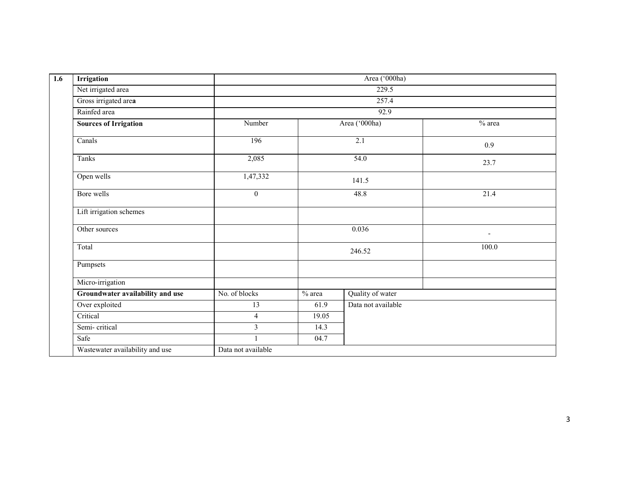| $\overline{1.6}$ | <b>Irrigation</b>                |                    |                      | Area ('000ha)      |                          |
|------------------|----------------------------------|--------------------|----------------------|--------------------|--------------------------|
|                  | Net irrigated area               |                    |                      | 229.5              |                          |
|                  | Gross irrigated area             |                    |                      | 257.4              |                          |
|                  | Rainfed area                     |                    |                      | 92.9               |                          |
|                  | <b>Sources of Irrigation</b>     | Number             | Area ('000ha)<br>2.1 |                    | $%$ area                 |
|                  | Canals                           | 196                |                      |                    | 0.9                      |
|                  | Tanks                            | 2,085              |                      | 54.0               | 23.7                     |
|                  | Open wells                       | 1,47,332           |                      | 141.5              |                          |
|                  | Bore wells                       | $\boldsymbol{0}$   |                      | 48.8               | 21.4                     |
|                  | Lift irrigation schemes          |                    |                      |                    |                          |
|                  | Other sources                    |                    | 0.036                |                    | $\overline{\phantom{a}}$ |
|                  | Total                            |                    |                      | 246.52             | 100.0                    |
|                  | Pumpsets                         |                    |                      |                    |                          |
|                  | Micro-irrigation                 |                    |                      |                    |                          |
|                  | Groundwater availability and use | No. of blocks      | $%$ area             | Quality of water   |                          |
|                  | Over exploited                   | 13                 | 61.9                 | Data not available |                          |
|                  | Critical                         | $\overline{4}$     | 19.05                |                    |                          |
|                  | Semi-critical                    | $\mathfrak{Z}$     | 14.3                 |                    |                          |
|                  | Safe                             |                    | 04.7                 |                    |                          |
|                  | Wastewater availability and use  | Data not available |                      |                    |                          |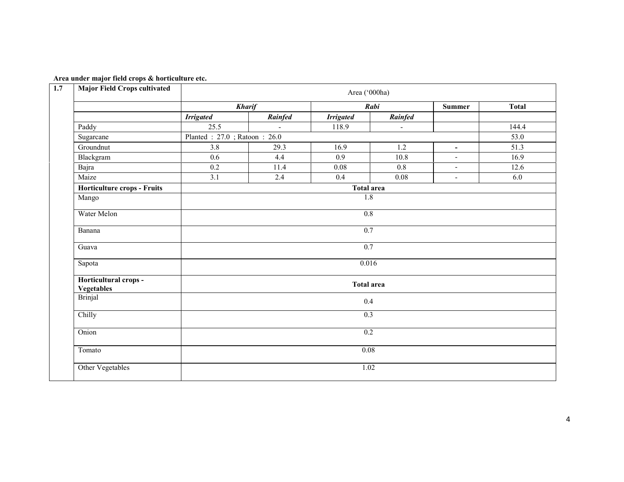|  |  |  | Area under major field crops & horticulture etc. |  |
|--|--|--|--------------------------------------------------|--|
|--|--|--|--------------------------------------------------|--|

| 1.7 | <b>Major Field Crops cultivated</b>        | Area ('000ha)     |                             |                   |                          |                          |              |  |  |  |
|-----|--------------------------------------------|-------------------|-----------------------------|-------------------|--------------------------|--------------------------|--------------|--|--|--|
|     |                                            | <b>Kharif</b>     |                             |                   | Rabi                     |                          | <b>Total</b> |  |  |  |
|     |                                            | <b>Irrigated</b>  | Rainfed                     | <b>Irrigated</b>  | Rainfed                  |                          |              |  |  |  |
|     | Paddy                                      | 25.5              |                             | 118.9             | $\overline{\phantom{0}}$ |                          | 144.4        |  |  |  |
|     | Sugarcane                                  |                   | Planted: 27.0; Ratoon: 26.0 |                   |                          |                          |              |  |  |  |
|     | Groundnut                                  | 3.8               | 29.3                        | 16.9              | 1.2                      | $\blacksquare$           | 51.3         |  |  |  |
|     | Blackgram                                  | 0.6               | 4.4                         | 0.9               | 10.8                     | $\overline{\phantom{a}}$ | 16.9         |  |  |  |
|     | Bajra                                      | $0.2\,$           | 11.4                        | $0.08\,$          | $0.8\,$                  | $\overline{\phantom{a}}$ | 12.6         |  |  |  |
|     | Maize                                      | $\overline{3.1}$  | 2.4                         | 0.4               | 0.08                     | $\blacksquare$           | 6.0          |  |  |  |
|     | Horticulture crops - Fruits                |                   |                             | <b>Total area</b> |                          |                          |              |  |  |  |
|     | Mango                                      |                   | $\overline{1.8}$            |                   |                          |                          |              |  |  |  |
|     | Water Melon                                | 0.8               |                             |                   |                          |                          |              |  |  |  |
|     | Banana                                     |                   | 0.7                         |                   |                          |                          |              |  |  |  |
|     | Guava                                      |                   |                             | 0.7               |                          |                          |              |  |  |  |
|     | Sapota                                     |                   | 0.016                       |                   |                          |                          |              |  |  |  |
|     | Horticultural crops -<br><b>Vegetables</b> | <b>Total area</b> |                             |                   |                          |                          |              |  |  |  |
|     | <b>Brinjal</b>                             | 0.4               |                             |                   |                          |                          |              |  |  |  |
|     | Chilly                                     | 0.3               |                             |                   |                          |                          |              |  |  |  |
|     | Onion                                      | $\overline{0.2}$  |                             |                   |                          |                          |              |  |  |  |
|     | Tomato                                     | 0.08              |                             |                   |                          |                          |              |  |  |  |
|     | Other Vegetables                           |                   |                             | 1.02              |                          |                          |              |  |  |  |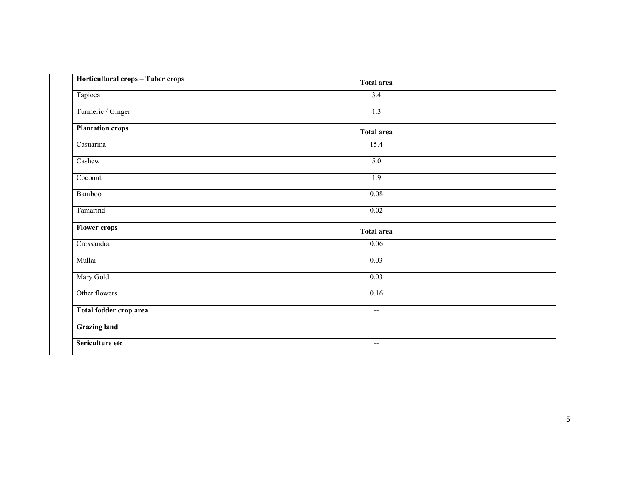| Horticultural crops - Tuber crops | <b>Total area</b>                                   |  |
|-----------------------------------|-----------------------------------------------------|--|
| Tapioca                           | 3.4                                                 |  |
| Turmeric / Ginger                 | 1.3                                                 |  |
| <b>Plantation crops</b>           | <b>Total area</b>                                   |  |
| Casuarina                         | 15.4                                                |  |
| Cashew                            | 5.0                                                 |  |
| Coconut                           | 1.9                                                 |  |
| Bamboo                            | 0.08                                                |  |
| Tamarind                          | 0.02                                                |  |
| <b>Flower crops</b>               | <b>Total area</b>                                   |  |
| Crossandra                        | 0.06                                                |  |
| Mullai                            | 0.03                                                |  |
| Mary Gold                         | 0.03                                                |  |
| Other flowers                     | 0.16                                                |  |
| Total fodder crop area            | $\hspace{0.05cm} -\hspace{0.05cm} -\hspace{0.05cm}$ |  |
| <b>Grazing land</b>               | $\overline{\phantom{a}}$                            |  |
| Sericulture etc                   | $\overline{\phantom{a}}$                            |  |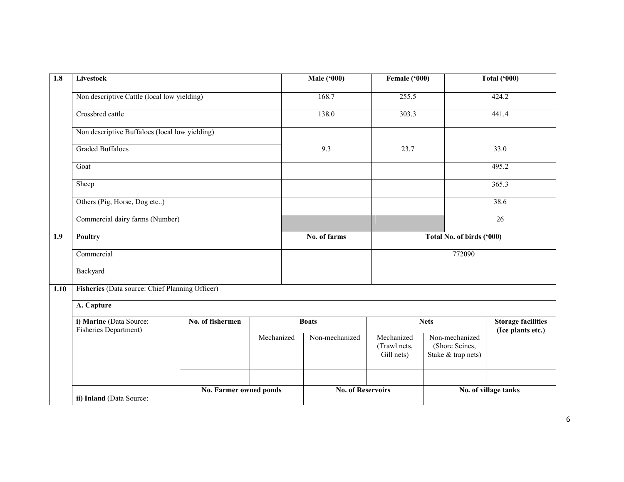| 1.8  | <b>Livestock</b>                                 |                        |            | <b>Male ('000)</b>       | Female ('000)                            |                                                        | Total $(900)$                                  |  |
|------|--------------------------------------------------|------------------------|------------|--------------------------|------------------------------------------|--------------------------------------------------------|------------------------------------------------|--|
|      | Non descriptive Cattle (local low yielding)      |                        |            | 168.7                    | 255.5                                    |                                                        | 424.2                                          |  |
|      | Crossbred cattle                                 |                        |            | 138.0                    | 303.3                                    |                                                        | 441.4                                          |  |
|      | Non descriptive Buffaloes (local low yielding)   |                        |            |                          |                                          |                                                        |                                                |  |
|      | <b>Graded Buffaloes</b>                          |                        |            | 9.3                      | 23.7                                     |                                                        | 33.0                                           |  |
|      | Goat                                             |                        |            |                          |                                          |                                                        | 495.2                                          |  |
|      | Sheep                                            |                        |            |                          |                                          |                                                        | 365.3                                          |  |
|      | Others (Pig, Horse, Dog etc)                     |                        |            |                          |                                          |                                                        | 38.6                                           |  |
|      | Commercial dairy farms (Number)                  |                        |            |                          |                                          |                                                        | 26                                             |  |
| 1.9  | Poultry                                          |                        |            | No. of farms             |                                          | Total No. of birds ('000)                              |                                                |  |
|      | Commercial                                       |                        |            |                          |                                          | 772090                                                 |                                                |  |
|      | Backyard                                         |                        |            |                          |                                          |                                                        |                                                |  |
| 1.10 | Fisheries (Data source: Chief Planning Officer)  |                        |            |                          |                                          |                                                        |                                                |  |
|      | A. Capture                                       |                        |            |                          |                                          |                                                        |                                                |  |
|      | i) Marine (Data Source:<br>Fisheries Department) | No. of fishermen       |            | <b>Boats</b>             | <b>Nets</b>                              |                                                        | <b>Storage facilities</b><br>(Ice plants etc.) |  |
|      |                                                  |                        | Mechanized | Non-mechanized           | Mechanized<br>(Trawl nets,<br>Gill nets) | Non-mechanized<br>(Shore Seines,<br>Stake & trap nets) |                                                |  |
|      | ii) Inland (Data Source:                         | No. Farmer owned ponds |            | <b>No. of Reservoirs</b> |                                          |                                                        | No. of village tanks                           |  |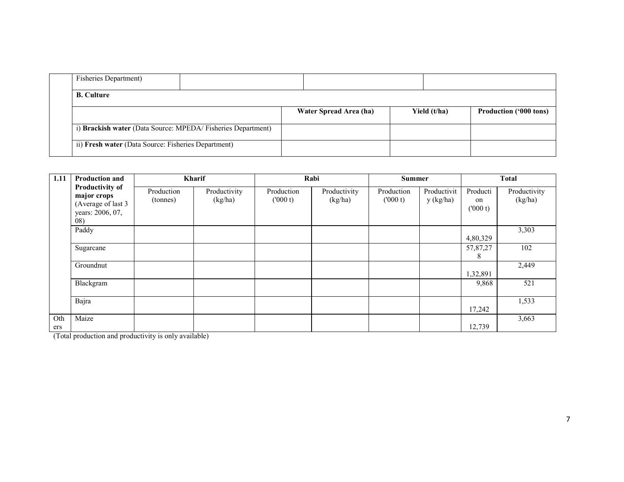| <b>Fisheries Department</b> )                                |                        |              |                               |
|--------------------------------------------------------------|------------------------|--------------|-------------------------------|
| <b>B.</b> Culture                                            |                        |              |                               |
|                                                              | Water Spread Area (ha) | Yield (t/ha) | <b>Production ('000 tons)</b> |
| i) Brackish water (Data Source: MPEDA/ Fisheries Department) |                        |              |                               |
| ii) Fresh water (Data Source: Fisheries Department)          |                        |              |                               |

| 1.11       | <b>Production and</b>                                                           | Kharif                 |                         |                       | Rabi                    |                       | <b>Summer</b>            |                           | <b>Total</b>            |
|------------|---------------------------------------------------------------------------------|------------------------|-------------------------|-----------------------|-------------------------|-----------------------|--------------------------|---------------------------|-------------------------|
|            | Productivity of<br>major crops<br>(Average of last 3<br>years: 2006, 07,<br>08) | Production<br>(tonnes) | Productivity<br>(kg/ha) | Production<br>(000 t) | Productivity<br>(kg/ha) | Production<br>(000 t) | Productivit<br>y (kg/ha) | Producti<br>on<br>(000 t) | Productivity<br>(kg/ha) |
|            | Paddy                                                                           |                        |                         |                       |                         |                       |                          | 4,80,329                  | 3,303                   |
|            | Sugarcane                                                                       |                        |                         |                       |                         |                       |                          | 57,87,27<br>8             | 102                     |
|            | Groundnut                                                                       |                        |                         |                       |                         |                       |                          | 1,32,891                  | 2,449                   |
|            | Blackgram                                                                       |                        |                         |                       |                         |                       |                          | 9,868                     | 521                     |
|            | Bajra                                                                           |                        |                         |                       |                         |                       |                          | 17,242                    | 1,533                   |
| Oth<br>ers | Maize                                                                           |                        |                         |                       |                         |                       |                          | 12,739                    | 3,663                   |

(Total production and productivity is only available)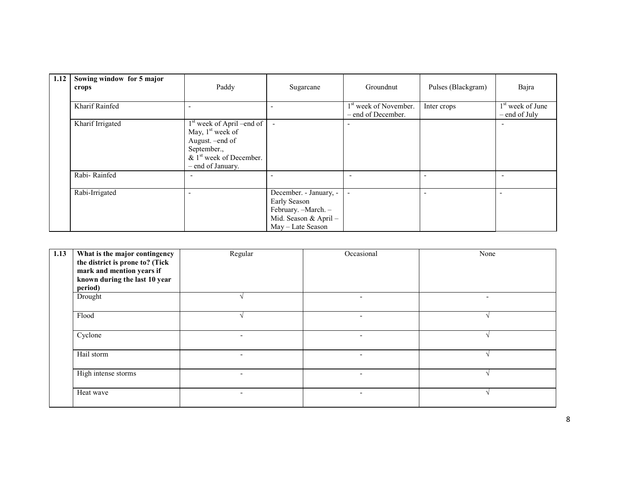| 1.12 | Sowing window for 5 major<br>crops | Paddy                                                                                                                                  | Sugarcane                                                                                                    | Groundnut                                               | Pulses (Blackgram) | Bajra                                         |
|------|------------------------------------|----------------------------------------------------------------------------------------------------------------------------------------|--------------------------------------------------------------------------------------------------------------|---------------------------------------------------------|--------------------|-----------------------------------------------|
|      | Kharif Rainfed                     |                                                                                                                                        |                                                                                                              | 1 <sup>st</sup> week of November.<br>- end of December. | Inter crops        | 1 <sup>st</sup> week of June<br>– end of July |
|      | Kharif Irrigated                   | $1st$ week of April –end of<br>May, $1st$ week of<br>August. - end of<br>September.,<br>& $1st$ week of December.<br>– end of January. | $\overline{\phantom{a}}$                                                                                     |                                                         |                    |                                               |
|      | Rabi-Rainfed                       |                                                                                                                                        |                                                                                                              | $\overline{\phantom{0}}$                                |                    |                                               |
|      | Rabi-Irrigated                     |                                                                                                                                        | December. - January, -<br>Early Season<br>February. - March. -<br>Mid. Season & April -<br>May - Late Season |                                                         |                    | $\overline{\phantom{0}}$                      |

| 1.13 | What is the major contingency<br>the district is prone to? (Tick<br>mark and mention years if<br>known during the last 10 year<br>period) | Regular                  | Occasional               | None                     |
|------|-------------------------------------------------------------------------------------------------------------------------------------------|--------------------------|--------------------------|--------------------------|
|      | Drought                                                                                                                                   |                          | $\overline{\phantom{0}}$ | $\overline{\phantom{a}}$ |
|      | Flood                                                                                                                                     |                          |                          |                          |
|      | Cyclone                                                                                                                                   | $\overline{\phantom{0}}$ | $\overline{\phantom{a}}$ |                          |
|      | Hail storm                                                                                                                                | $\overline{\phantom{0}}$ | $\overline{\phantom{0}}$ |                          |
|      | High intense storms                                                                                                                       | $\overline{\phantom{0}}$ | $\overline{\phantom{0}}$ |                          |
|      | Heat wave                                                                                                                                 | $\blacksquare$           | $\overline{\phantom{0}}$ |                          |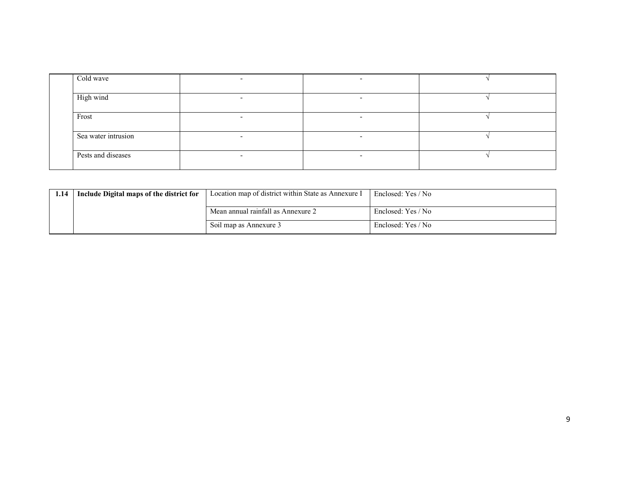| Cold wave           |                          |  |
|---------------------|--------------------------|--|
| High wind           | $\overline{\phantom{a}}$ |  |
| Frost               |                          |  |
| Sea water intrusion |                          |  |
| Pests and diseases  |                          |  |

| 1.14 | Include Digital maps of the district for | Location map of district within State as Annexure I | Enclosed: Yes / No |
|------|------------------------------------------|-----------------------------------------------------|--------------------|
|      |                                          |                                                     |                    |
|      |                                          | Mean annual rainfall as Annexure 2                  | Enclosed: Yes / No |
|      |                                          | Soil map as Annexure 3                              | Enclosed: Yes / No |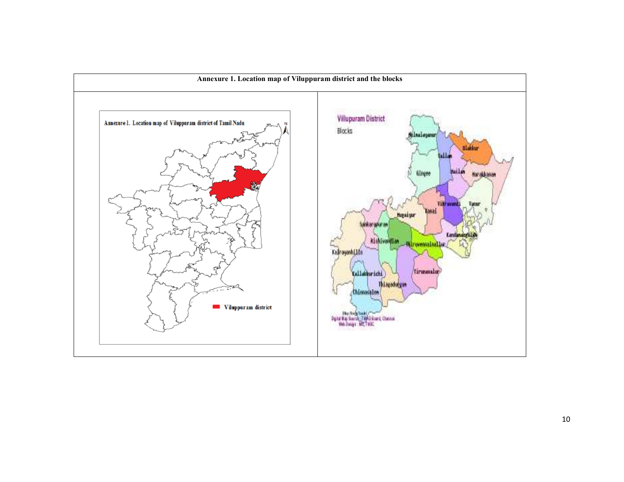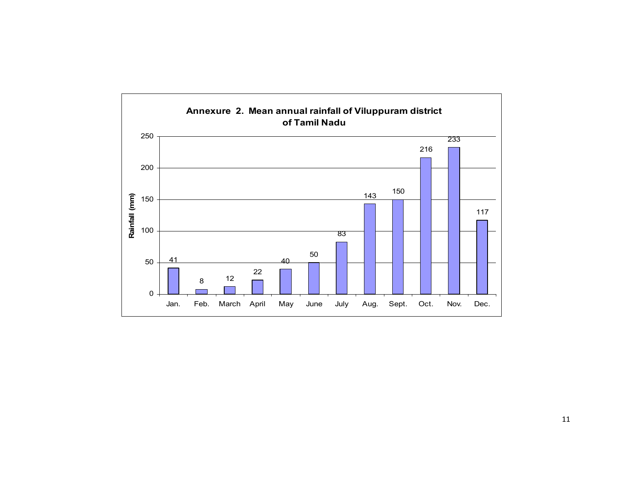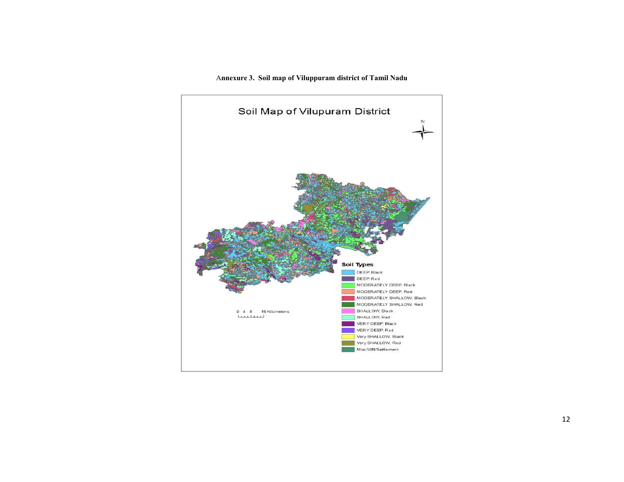Annexure 3. Soil map of Viluppuram district of Tamil Nadu

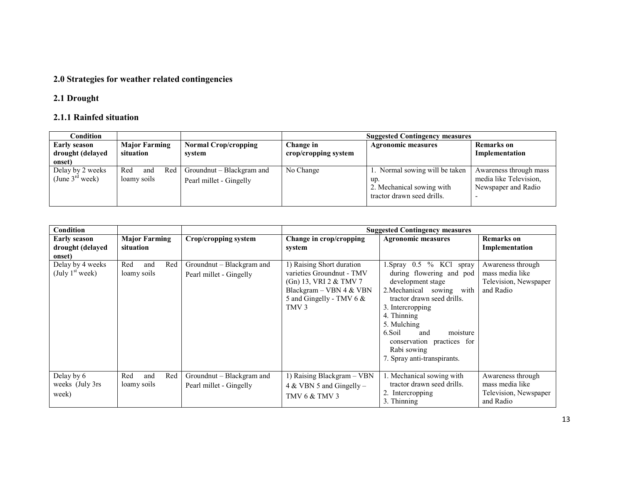## 2.0 Strategies for weather related contingencies

## 2.1 Drought

#### 2.1.1 Rainfed situation

| Condition                                         |                                   |                                                      | <b>Suggested Contingency measures</b> |                                                                                                  |                                                                         |  |
|---------------------------------------------------|-----------------------------------|------------------------------------------------------|---------------------------------------|--------------------------------------------------------------------------------------------------|-------------------------------------------------------------------------|--|
| <b>Early season</b><br>drought (delayed<br>onset) | <b>Major Farming</b><br>situation | <b>Normal Crop/cropping</b><br>system                | Change in<br>crop/cropping system     | <b>Agronomic measures</b>                                                                        | <b>Remarks</b> on<br>Implementation                                     |  |
| Delay by 2 weeks<br>(June $3^{rd}$ week)          | Red<br>Red<br>and<br>loamy soils  | Groundnut – Blackgram and<br>Pearl millet - Gingelly | No Change                             | 1. Normal sowing will be taken<br>up.<br>2. Mechanical sowing with<br>tractor drawn seed drills. | Awareness through mass<br>media like Television.<br>Newspaper and Radio |  |

| <b>Condition</b>                                  |                                   |                                                      |                                                                                                                                                                  | <b>Suggested Contingency measures</b>                                                                                                                                                                                                                                                              |                                                                            |
|---------------------------------------------------|-----------------------------------|------------------------------------------------------|------------------------------------------------------------------------------------------------------------------------------------------------------------------|----------------------------------------------------------------------------------------------------------------------------------------------------------------------------------------------------------------------------------------------------------------------------------------------------|----------------------------------------------------------------------------|
| <b>Early season</b><br>drought (delayed<br>onset) | <b>Major Farming</b><br>situation | Crop/cropping system                                 | Change in crop/cropping<br>system                                                                                                                                | <b>Agronomic measures</b>                                                                                                                                                                                                                                                                          | Remarks on<br>Implementation                                               |
| Delay by 4 weeks<br>(July $1st$ week)             | Red<br>Red<br>and<br>loamy soils  | Groundnut – Blackgram and<br>Pearl millet - Gingelly | 1) Raising Short duration<br>varieties Groundnut - TMV<br>(Gn) 13, VRI $2 & TMV$ 7<br>Blackgram – VBN 4 & VBN<br>5 and Gingelly - TMV 6 $\&$<br>TMV <sub>3</sub> | 1. Spray 0.5 % KCl spray<br>during flowering and pod<br>development stage<br>2. Mechanical sowing<br>with<br>tractor drawn seed drills.<br>3. Intercropping<br>4. Thinning<br>5. Mulching<br>6.Soil<br>and<br>moisture<br>conservation practices for<br>Rabi sowing<br>7. Spray anti-transpirants. | Awareness through<br>mass media like<br>Television, Newspaper<br>and Radio |
| Delay by 6<br>weeks (July 3rs)<br>week)           | Red<br>Red<br>and<br>loamy soils  | Groundnut – Blackgram and<br>Pearl millet - Gingelly | 1) Raising Blackgram - VBN<br>4 & VBN 5 and Gingelly –<br><b>TMV 6 &amp; TMV 3</b>                                                                               | 1. Mechanical sowing with<br>tractor drawn seed drills.<br>2. Intercropping<br>3. Thinning                                                                                                                                                                                                         | Awareness through<br>mass media like<br>Television, Newspaper<br>and Radio |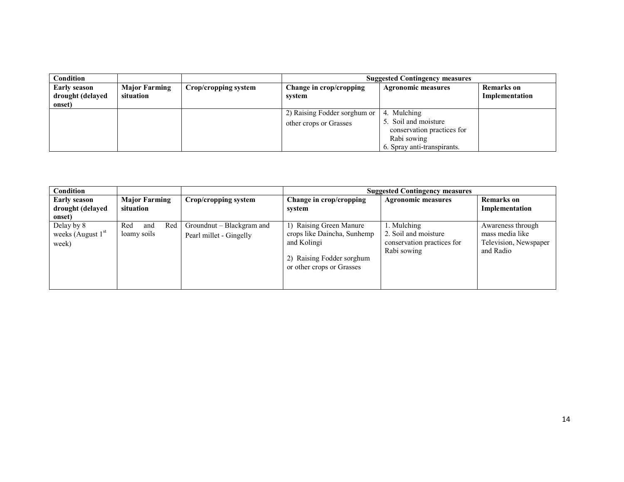| Condition                                         |                                   |                      |                                                        | <b>Suggested Contingency measures</b>                                                                           |                                     |
|---------------------------------------------------|-----------------------------------|----------------------|--------------------------------------------------------|-----------------------------------------------------------------------------------------------------------------|-------------------------------------|
| <b>Early season</b><br>drought (delayed<br>onset) | <b>Major Farming</b><br>situation | Crop/cropping system | Change in crop/cropping<br>system                      | <b>Agronomic measures</b>                                                                                       | <b>Remarks</b> on<br>Implementation |
|                                                   |                                   |                      | 2) Raising Fodder sorghum or<br>other crops or Grasses | 4. Mulching<br>5. Soil and moisture<br>conservation practices for<br>Rabi sowing<br>6. Spray anti-transpirants. |                                     |

| Condition                                            |                                  |                                                      |                                                                                                                                 | <b>Suggested Contingency measures</b>                                            |                                                                            |
|------------------------------------------------------|----------------------------------|------------------------------------------------------|---------------------------------------------------------------------------------------------------------------------------------|----------------------------------------------------------------------------------|----------------------------------------------------------------------------|
| <b>Early season</b>                                  | <b>Major Farming</b>             | Crop/cropping system                                 | Change in crop/cropping                                                                                                         | <b>Agronomic measures</b>                                                        | <b>Remarks</b> on                                                          |
| drought (delayed                                     | situation                        |                                                      | system                                                                                                                          |                                                                                  | Implementation                                                             |
| onset)<br>Delay by 8<br>weeks (August $1st$<br>week) | Red<br>Red<br>and<br>loamy soils | Groundnut – Blackgram and<br>Pearl millet - Gingelly | 1) Raising Green Manure<br>crops like Daincha, Sunhemp<br>and Kolingi<br>2) Raising Fodder sorghum<br>or other crops or Grasses | 1. Mulching<br>2. Soil and moisture<br>conservation practices for<br>Rabi sowing | Awareness through<br>mass media like<br>Television, Newspaper<br>and Radio |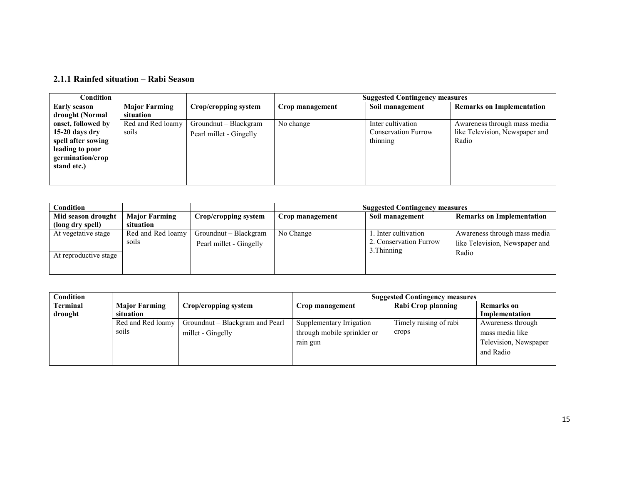#### 2.1.1 Rainfed situation – Rabi Season

| Condition           |                      |                         |                 | <b>Suggested Contingency measures</b> |                                  |
|---------------------|----------------------|-------------------------|-----------------|---------------------------------------|----------------------------------|
| <b>Early season</b> | <b>Major Farming</b> | Crop/cropping system    | Crop management | Soil management                       | <b>Remarks on Implementation</b> |
| drought (Normal     | situation            |                         |                 |                                       |                                  |
| onset, followed by  | Red and Red loamy    | Groundnut – Blackgram   | No change       | Inter cultivation                     | Awareness through mass media     |
| $15-20$ days dry    | soils                | Pearl millet - Gingelly |                 | <b>Conservation Furrow</b>            | like Television, Newspaper and   |
| spell after sowing  |                      |                         |                 | thinning                              | Radio                            |
| leading to poor     |                      |                         |                 |                                       |                                  |
| germination/crop    |                      |                         |                 |                                       |                                  |
| stand etc.)         |                      |                         |                 |                                       |                                  |
|                     |                      |                         |                 |                                       |                                  |
|                     |                      |                         |                 |                                       |                                  |

| <b>Condition</b>                             |                            |                                                  |                 | <b>Suggested Contingency measures</b>                        |                                                                         |
|----------------------------------------------|----------------------------|--------------------------------------------------|-----------------|--------------------------------------------------------------|-------------------------------------------------------------------------|
| Mid season drought                           | <b>Major Farming</b>       | Crop/cropping system                             | Crop management | Soil management                                              | <b>Remarks on Implementation</b>                                        |
| (long dry spell)                             | situation                  |                                                  |                 |                                                              |                                                                         |
| At vegetative stage<br>At reproductive stage | Red and Red loamy<br>soils | Groundnut – Blackgram<br>Pearl millet - Gingelly | No Change       | . Inter cultivation<br>2. Conservation Furrow<br>3. Thinning | Awareness through mass media<br>like Television, Newspaper and<br>Radio |

| Condition |                      |                                 | <b>Suggested Contingency measures</b> |                        |                       |
|-----------|----------------------|---------------------------------|---------------------------------------|------------------------|-----------------------|
| Terminal  | <b>Major Farming</b> | Crop/cropping system            | Crop management                       | Rabi Crop planning     | <b>Remarks</b> on     |
| drought   | situation            |                                 |                                       |                        | Implementation        |
|           | Red and Red loamy    | Groundnut – Blackgram and Pearl | Supplementary Irrigation              | Timely raising of rabi | Awareness through     |
|           | soils                | millet - Gingelly               | through mobile sprinkler or           | crops                  | mass media like       |
|           |                      |                                 | rain gun                              |                        | Television, Newspaper |
|           |                      |                                 |                                       |                        | and Radio             |
|           |                      |                                 |                                       |                        |                       |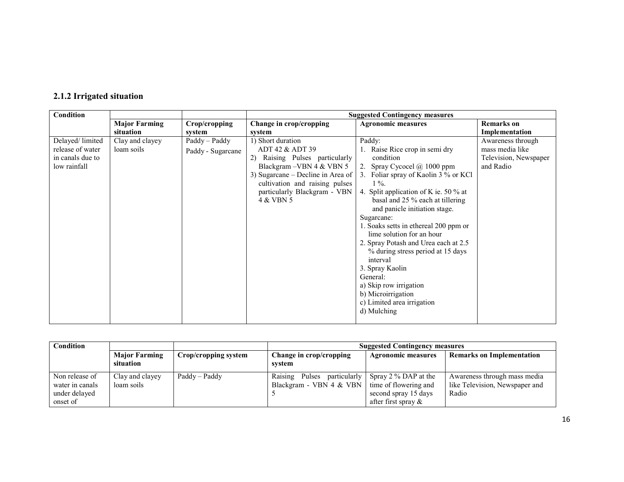| 2.1.2 Irrigated situation |  |
|---------------------------|--|
|---------------------------|--|

| Condition                                                               |                               |                                    | <b>Suggested Contingency measures</b>                                                                                                                                                                                   |                                                                                                                                                                                                                                                                                                                                                                                                                                                                                                                                                                |                                                                            |
|-------------------------------------------------------------------------|-------------------------------|------------------------------------|-------------------------------------------------------------------------------------------------------------------------------------------------------------------------------------------------------------------------|----------------------------------------------------------------------------------------------------------------------------------------------------------------------------------------------------------------------------------------------------------------------------------------------------------------------------------------------------------------------------------------------------------------------------------------------------------------------------------------------------------------------------------------------------------------|----------------------------------------------------------------------------|
|                                                                         | <b>Major Farming</b>          | Crop/cropping                      | Change in crop/cropping                                                                                                                                                                                                 | <b>Agronomic measures</b>                                                                                                                                                                                                                                                                                                                                                                                                                                                                                                                                      | <b>Remarks</b> on                                                          |
|                                                                         | situation                     | system                             | system                                                                                                                                                                                                                  |                                                                                                                                                                                                                                                                                                                                                                                                                                                                                                                                                                | Implementation                                                             |
| Delayed/limited<br>release of water<br>in canals due to<br>low rainfall | Clay and clayey<br>loam soils | Paddy - Paddy<br>Paddy - Sugarcane | 1) Short duration<br>ADT 42 & ADT 39<br>2) Raising Pulses particularly<br>Blackgram - VBN 4 & VBN 5<br>3) Sugarcane – Decline in Area of<br>cultivation and raising pulses<br>particularly Blackgram - VBN<br>4 & VBN 5 | Paddy:<br>1. Raise Rice crop in semi dry<br>condition<br>2. Spray Cycocel @ 1000 ppm<br>3. Foliar spray of Kaolin 3 % or KCl<br>$1\%$ .<br>4. Split application of K ie. 50 % at<br>basal and 25 % each at tillering<br>and panicle initiation stage.<br>Sugarcane:<br>1. Soaks setts in ethereal 200 ppm or<br>lime solution for an hour<br>2. Spray Potash and Urea each at 2.5<br>% during stress period at 15 days<br>interval<br>3. Spray Kaolin<br>General:<br>a) Skip row irrigation<br>b) Microirrigation<br>c) Limited area irrigation<br>d) Mulching | Awareness through<br>mass media like<br>Television, Newspaper<br>and Radio |

| Condition                                                      |                                   |                      | <b>Suggested Contingency measures</b>                     |                                                                                                   |                                                                         |  |
|----------------------------------------------------------------|-----------------------------------|----------------------|-----------------------------------------------------------|---------------------------------------------------------------------------------------------------|-------------------------------------------------------------------------|--|
|                                                                | <b>Major Farming</b><br>situation | Crop/cropping system | Change in crop/cropping<br>system                         | <b>Agronomic measures</b>                                                                         | <b>Remarks on Implementation</b>                                        |  |
| Non release of<br>water in canals<br>under delayed<br>onset of | Clay and clayey<br>loam soils     | Paddy – Paddy        | Raising Pulses<br>particularly<br>Blackgram - VBN 4 & VBN | Spray $2\%$ DAP at the<br>time of flowering and<br>second spray 15 days<br>after first spray $\&$ | Awareness through mass media<br>like Television, Newspaper and<br>Radio |  |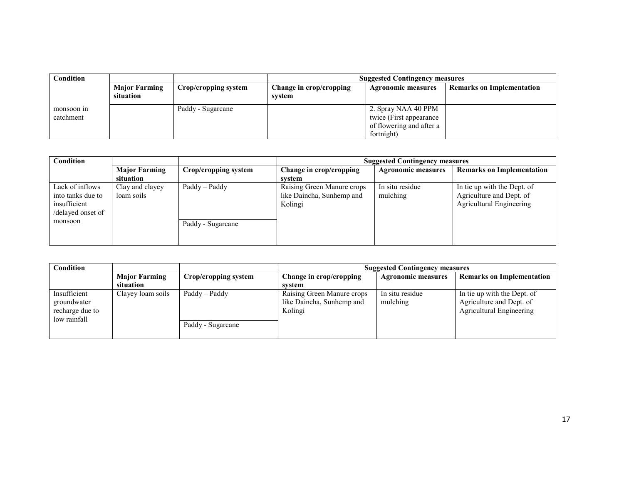| Condition               |                                   |                      | <b>Suggested Contingency measures</b>                                                     |                                  |  |  |
|-------------------------|-----------------------------------|----------------------|-------------------------------------------------------------------------------------------|----------------------------------|--|--|
|                         | <b>Major Farming</b><br>situation | Crop/cropping system | Change in crop/cropping<br><b>Agronomic measures</b><br>system                            | <b>Remarks on Implementation</b> |  |  |
| monsoon in<br>catchment |                                   | Paddy - Sugarcane    | 2. Spray NAA 40 PPM<br>twice (First appearance)<br>of flowering and after a<br>fortnight) |                                  |  |  |

| Condition                                                                            |                               |                                    | <b>Suggested Contingency measures</b>                              |                             |                                                                                     |  |
|--------------------------------------------------------------------------------------|-------------------------------|------------------------------------|--------------------------------------------------------------------|-----------------------------|-------------------------------------------------------------------------------------|--|
|                                                                                      | <b>Major Farming</b>          | Crop/cropping system               | Change in crop/cropping                                            | <b>Agronomic measures</b>   | <b>Remarks on Implementation</b>                                                    |  |
|                                                                                      | situation                     |                                    | svstem                                                             |                             |                                                                                     |  |
| Lack of inflows<br>into tanks due to<br>insufficient<br>/delayed onset of<br>monsoon | Clay and clayey<br>loam soils | Paddy - Paddy<br>Paddy - Sugarcane | Raising Green Manure crops<br>like Daincha, Sunhemp and<br>Kolingi | In situ residue<br>mulching | In tie up with the Dept. of<br>Agriculture and Dept. of<br>Agricultural Engineering |  |

| Condition                                                      |                                   |                                      | <b>Suggested Contingency measures</b>                              |                             |                                                                                     |  |
|----------------------------------------------------------------|-----------------------------------|--------------------------------------|--------------------------------------------------------------------|-----------------------------|-------------------------------------------------------------------------------------|--|
|                                                                | <b>Major Farming</b><br>situation | Crop/cropping system                 | Change in crop/cropping<br>svstem                                  | <b>Agronomic measures</b>   | <b>Remarks on Implementation</b>                                                    |  |
| Insufficient<br>groundwater<br>recharge due to<br>low rainfall | Clayey loam soils                 | $Paddy - Paddy$<br>Paddy - Sugarcane | Raising Green Manure crops<br>like Daincha, Sunhemp and<br>Kolingi | In situ residue<br>mulching | In tie up with the Dept. of<br>Agriculture and Dept. of<br>Agricultural Engineering |  |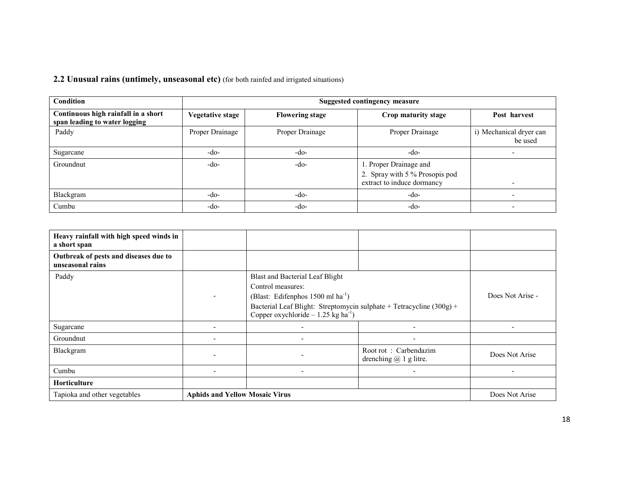2.2 Unusual rains (untimely, unseasonal etc) (for both rainfed and irrigated situations)

| <b>Condition</b>                                                     | <b>Suggested contingency measure</b> |                        |                                                                                        |                                    |  |
|----------------------------------------------------------------------|--------------------------------------|------------------------|----------------------------------------------------------------------------------------|------------------------------------|--|
| Continuous high rainfall in a short<br>span leading to water logging | Vegetative stage                     | <b>Flowering stage</b> | Crop maturity stage                                                                    | Post harvest                       |  |
| Paddy                                                                | Proper Drainage                      | Proper Drainage        | Proper Drainage                                                                        | i) Mechanical dryer can<br>be used |  |
| Sugarcane                                                            | -do-                                 | $-do-$                 | -do-                                                                                   |                                    |  |
| Groundnut                                                            | -do-                                 | $-do-$                 | 1. Proper Drainage and<br>2. Spray with 5 % Prosopis pod<br>extract to induce dormancy | $\overline{\phantom{0}}$           |  |
| Blackgram                                                            | -do-                                 | $-do-$                 | -do-                                                                                   |                                    |  |
| Cumbu                                                                | -do-                                 | -do-                   | -do-                                                                                   |                                    |  |

| Heavy rainfall with high speed winds in<br>a short span   |                                       |                                                                                                                                                                                                                                           |                                                     |                |
|-----------------------------------------------------------|---------------------------------------|-------------------------------------------------------------------------------------------------------------------------------------------------------------------------------------------------------------------------------------------|-----------------------------------------------------|----------------|
| Outbreak of pests and diseases due to<br>unseasonal rains |                                       |                                                                                                                                                                                                                                           |                                                     |                |
| Paddy                                                     | -                                     | <b>Blast and Bacterial Leaf Blight</b><br>Control measures:<br>(Blast: Edifenphos $1500$ ml ha <sup>-1</sup> )<br>Bacterial Leaf Blight: Streptomycin sulphate + Tetracycline (300g) +<br>Copper oxychloride – 1.25 kg ha <sup>-1</sup> ) | Does Not Arise -                                    |                |
| Sugarcane                                                 | $\overline{\phantom{0}}$              |                                                                                                                                                                                                                                           |                                                     |                |
| Groundnut                                                 | $\overline{\phantom{0}}$              | ۰                                                                                                                                                                                                                                         |                                                     |                |
| Blackgram                                                 | $\blacksquare$                        |                                                                                                                                                                                                                                           | Root rot: Carbendazim<br>drenching $(a)$ 1 g litre. | Does Not Arise |
| Cumbu                                                     | -                                     | -                                                                                                                                                                                                                                         |                                                     |                |
| Horticulture                                              |                                       |                                                                                                                                                                                                                                           |                                                     |                |
| Tapioka and other vegetables                              | <b>Aphids and Yellow Mosaic Virus</b> |                                                                                                                                                                                                                                           |                                                     | Does Not Arise |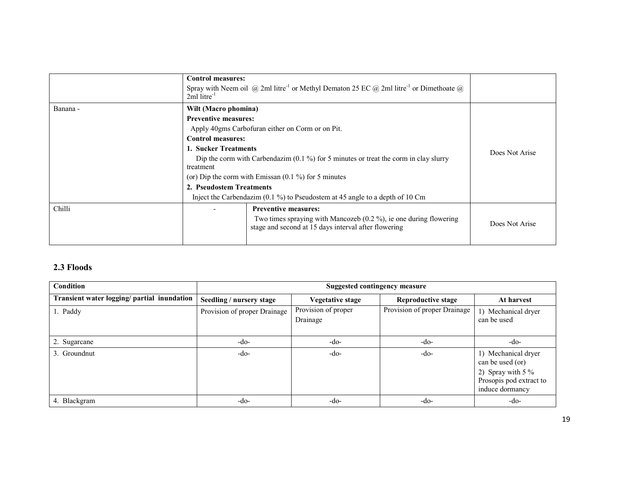|          | <b>Control measures:</b><br>Spray with Neem oil (a) 2ml litre <sup>-1</sup> or Methyl Dematon 25 EC (a) 2ml litre <sup>-1</sup> or Dimethoate (a)<br>$2ml$ litre <sup>-1</sup> |                |
|----------|--------------------------------------------------------------------------------------------------------------------------------------------------------------------------------|----------------|
| Banana - | Wilt (Macro phomina)<br><b>Preventive measures:</b>                                                                                                                            |                |
|          | Apply 40gms Carbofuran either on Corm or on Pit.                                                                                                                               |                |
|          | <b>Control measures:</b>                                                                                                                                                       |                |
|          | l. Sucker Treatments                                                                                                                                                           | Does Not Arise |
|          | Dip the corm with Carbendazim $(0.1\%)$ for 5 minutes or treat the corm in clay slurry                                                                                         |                |
|          | treatment                                                                                                                                                                      |                |
|          | (or) Dip the corm with Emissan $(0.1\%)$ for 5 minutes                                                                                                                         |                |
|          | 2. Pseudostem Treatments                                                                                                                                                       |                |
|          | Inject the Carbendazim $(0.1\%)$ to Pseudostem at 45 angle to a depth of 10 Cm                                                                                                 |                |
| Chilli   | <b>Preventive measures:</b><br>$\overline{\phantom{0}}$                                                                                                                        |                |
|          | Two times spraying with Mancozeb $(0.2 \%)$ , ie one during flowering<br>stage and second at 15 days interval after flowering                                                  | Does Not Arise |
|          |                                                                                                                                                                                |                |

## 2.3 Floods

| <b>Condition</b>                            | Suggested contingency measure |                                 |                              |                                                                                                              |  |  |
|---------------------------------------------|-------------------------------|---------------------------------|------------------------------|--------------------------------------------------------------------------------------------------------------|--|--|
| Transient water logging/ partial inundation | Seedling / nursery stage      | Vegetative stage                | <b>Reproductive stage</b>    | At harvest                                                                                                   |  |  |
| 1. Paddy                                    | Provision of proper Drainage  | Provision of proper<br>Drainage | Provision of proper Drainage | 1) Mechanical dryer<br>can be used                                                                           |  |  |
| 2. Sugarcane                                | -do-                          | $-do-$                          | $-do-$                       | $-do-$                                                                                                       |  |  |
| 3. Groundnut                                | -do-                          | $-do-$                          | $-do-$                       | 1) Mechanical dryer<br>can be used (or)<br>2) Spray with $5\%$<br>Prosopis pod extract to<br>induce dormancy |  |  |
| 4. Blackgram                                | -do-                          | $-do-$                          | $-do-$                       | $-do-$                                                                                                       |  |  |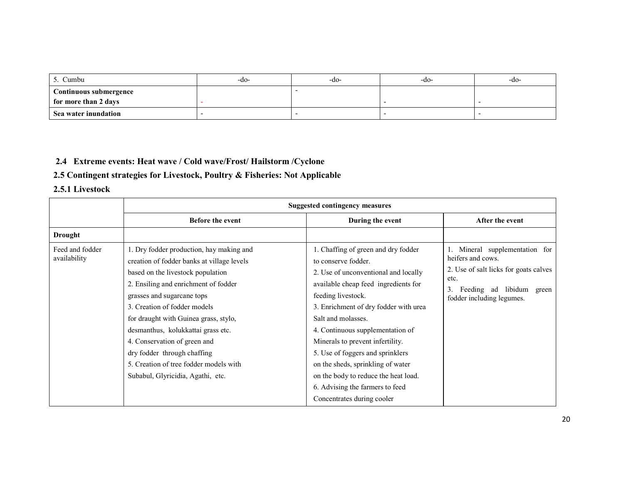| `umbu                         | -do- | -do- | -do- | -do- |
|-------------------------------|------|------|------|------|
| <b>Continuous submergence</b> |      |      |      |      |
| for more than 2 days          |      |      |      |      |
| Sea water inundation          |      |      |      |      |

## 2.4 Extreme events: Heat wave / Cold wave/Frost/ Hailstorm /Cyclone

#### 2.5 Contingent strategies for Livestock, Poultry & Fisheries: Not Applicable

#### 2.5.1 Livestock

|                                 |                                                                                                                                                                                                                                                                                                                                                                                                                                                                | <b>Suggested contingency measures</b>                                                                                                                                                                                                                                                                                                                                                                                                                                                     |                                                                                                                                                                        |
|---------------------------------|----------------------------------------------------------------------------------------------------------------------------------------------------------------------------------------------------------------------------------------------------------------------------------------------------------------------------------------------------------------------------------------------------------------------------------------------------------------|-------------------------------------------------------------------------------------------------------------------------------------------------------------------------------------------------------------------------------------------------------------------------------------------------------------------------------------------------------------------------------------------------------------------------------------------------------------------------------------------|------------------------------------------------------------------------------------------------------------------------------------------------------------------------|
|                                 | <b>Before the event</b>                                                                                                                                                                                                                                                                                                                                                                                                                                        | During the event                                                                                                                                                                                                                                                                                                                                                                                                                                                                          | After the event                                                                                                                                                        |
| <b>Drought</b>                  |                                                                                                                                                                                                                                                                                                                                                                                                                                                                |                                                                                                                                                                                                                                                                                                                                                                                                                                                                                           |                                                                                                                                                                        |
| Feed and fodder<br>availability | 1. Dry fodder production, hay making and<br>creation of fodder banks at village levels<br>based on the livestock population<br>2. Ensiling and enrichment of fodder<br>grasses and sugarcane tops<br>3. Creation of fodder models<br>for draught with Guinea grass, stylo,<br>desmanthus, kolukkattai grass etc.<br>4. Conservation of green and<br>dry fodder through chaffing<br>5. Creation of tree fodder models with<br>Subabul, Glyricidia, Agathi, etc. | 1. Chaffing of green and dry fodder<br>to conserve fodder.<br>2. Use of unconventional and locally<br>available cheap feed ingredients for<br>feeding livestock.<br>3. Enrichment of dry fodder with urea<br>Salt and molasses.<br>4. Continuous supplementation of<br>Minerals to prevent infertility.<br>5. Use of foggers and sprinklers<br>on the sheds, sprinkling of water<br>on the body to reduce the heat load.<br>6. Advising the farmers to feed<br>Concentrates during cooler | Mineral supplementation for<br>heifers and cows.<br>2. Use of salt licks for goats calves<br>etc.<br>3.<br>libidum<br>Feeding ad<br>green<br>fodder including legumes. |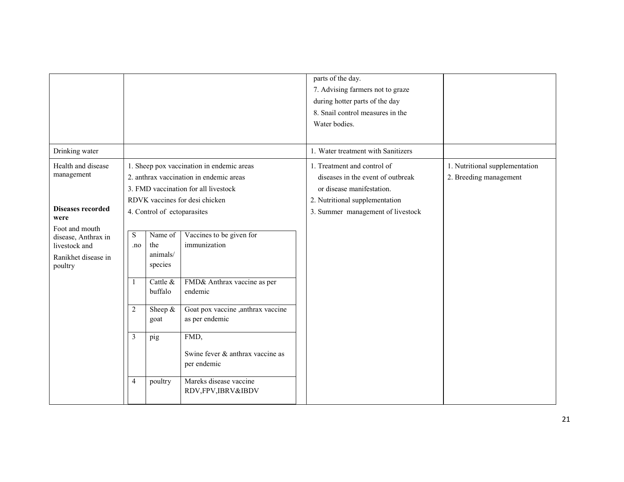|                          |                |                             |                                           | parts of the day.                  |                                |
|--------------------------|----------------|-----------------------------|-------------------------------------------|------------------------------------|--------------------------------|
|                          |                |                             |                                           | 7. Advising farmers not to graze   |                                |
|                          |                |                             |                                           | during hotter parts of the day     |                                |
|                          |                |                             |                                           | 8. Snail control measures in the   |                                |
|                          |                |                             |                                           | Water bodies.                      |                                |
|                          |                |                             |                                           |                                    |                                |
| Drinking water           |                |                             |                                           | 1. Water treatment with Sanitizers |                                |
| Health and disease       |                |                             | 1. Sheep pox vaccination in endemic areas | 1. Treatment and control of        | 1. Nutritional supplementation |
| management               |                |                             | 2. anthrax vaccination in endemic areas   | diseases in the event of outbreak  | 2. Breeding management         |
|                          |                |                             | 3. FMD vaccination for all livestock      | or disease manifestation.          |                                |
|                          |                |                             | RDVK vaccines for desi chicken            | 2. Nutritional supplementation     |                                |
| <b>Diseases recorded</b> |                | 4. Control of ectoparasites |                                           | 3. Summer management of livestock  |                                |
| were<br>Foot and mouth   |                |                             |                                           |                                    |                                |
| disease, Anthrax in      | S              | Name of                     | Vaccines to be given for                  |                                    |                                |
| livestock and            | .no            | the                         | immunization                              |                                    |                                |
| Ranikhet disease in      |                | animals/                    |                                           |                                    |                                |
| poultry                  |                | species                     |                                           |                                    |                                |
|                          | 1              | Cattle &                    | FMD& Anthrax vaccine as per               |                                    |                                |
|                          |                | buffalo                     | endemic                                   |                                    |                                |
|                          |                |                             |                                           |                                    |                                |
|                          | $\overline{2}$ | Sheep $\&$                  | Goat pox vaccine ,anthrax vaccine         |                                    |                                |
|                          |                | goat                        | as per endemic                            |                                    |                                |
|                          | $\overline{3}$ | pig                         | FMD,                                      |                                    |                                |
|                          |                |                             |                                           |                                    |                                |
|                          |                |                             | Swine fever & anthrax vaccine as          |                                    |                                |
|                          |                |                             | per endemic                               |                                    |                                |
|                          | $\overline{4}$ | poultry                     | Mareks disease vaccine                    |                                    |                                |
|                          |                |                             | RDV,FPV,IBRV&IBDV                         |                                    |                                |
|                          |                |                             |                                           |                                    |                                |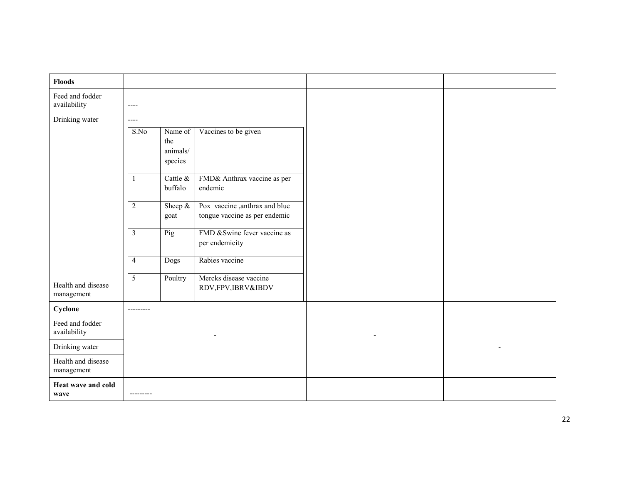| <b>Floods</b>                    |                         |                                       |                                                                |  |
|----------------------------------|-------------------------|---------------------------------------|----------------------------------------------------------------|--|
| Feed and fodder<br>availability  | $\cdots$                |                                       |                                                                |  |
| Drinking water                   | $---$                   |                                       |                                                                |  |
|                                  | S.No                    | Name of<br>the<br>animals/<br>species | Vaccines to be given                                           |  |
|                                  | $\mathbf{1}$            | Cattle &<br>buffalo                   | FMD& Anthrax vaccine as per<br>endemic                         |  |
|                                  | $\overline{2}$          | Sheep $\&$<br>goat                    | Pox vaccine, anthrax and blue<br>tongue vaccine as per endemic |  |
|                                  | $\overline{\mathbf{3}}$ | Pig                                   | FMD & Swine fever vaccine as<br>per endemicity                 |  |
|                                  | $\overline{4}$          | Dogs                                  | Rabies vaccine                                                 |  |
| Health and disease<br>management | $\overline{5}$          | Poultry                               | Mercks disease vaccine<br>RDV,FPV,IBRV&IBDV                    |  |
| Cyclone                          | ---------               |                                       |                                                                |  |
| Feed and fodder<br>availability  |                         |                                       |                                                                |  |
| Drinking water                   |                         |                                       |                                                                |  |
| Health and disease<br>management |                         |                                       |                                                                |  |
| Heat wave and cold<br>wave       | ---------               |                                       |                                                                |  |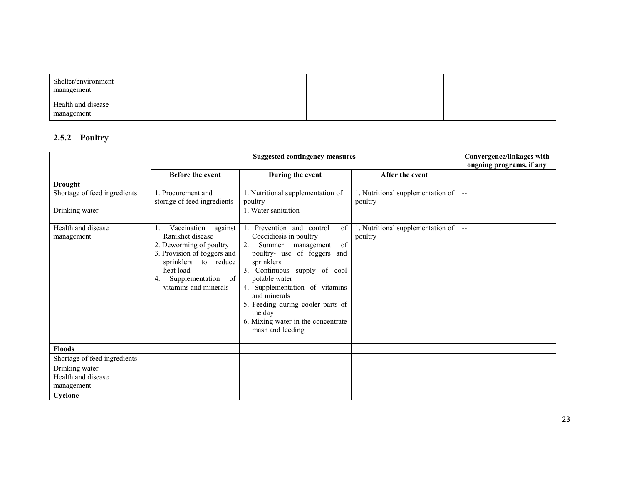| Shelter/environment<br>management |  |  |
|-----------------------------------|--|--|
| Health and disease<br>management  |  |  |

#### 2.5.2 Poultry

|                                  | <b>Suggested contingency measures</b>                                                                                                                                                          |                                                                                                                                                                                                                                                                                                                                                   |                                              | Convergence/linkages with<br>ongoing programs, if any |
|----------------------------------|------------------------------------------------------------------------------------------------------------------------------------------------------------------------------------------------|---------------------------------------------------------------------------------------------------------------------------------------------------------------------------------------------------------------------------------------------------------------------------------------------------------------------------------------------------|----------------------------------------------|-------------------------------------------------------|
|                                  | Before the event                                                                                                                                                                               | During the event                                                                                                                                                                                                                                                                                                                                  | After the event                              |                                                       |
| <b>Drought</b>                   |                                                                                                                                                                                                |                                                                                                                                                                                                                                                                                                                                                   |                                              |                                                       |
| Shortage of feed ingredients     | 1. Procurement and<br>storage of feed ingredients                                                                                                                                              | 1. Nutritional supplementation of<br>poultry                                                                                                                                                                                                                                                                                                      | 1. Nutritional supplementation of<br>poultry | $\sim$ $\sim$                                         |
| Drinking water                   |                                                                                                                                                                                                | 1. Water sanitation                                                                                                                                                                                                                                                                                                                               |                                              | $-$                                                   |
| Health and disease<br>management | Vaccination<br>against<br>Ranikhet disease<br>2. Deworming of poultry<br>3. Provision of foggers and<br>sprinklers to reduce<br>heat load<br>Supplementation of<br>4.<br>vitamins and minerals | Prevention and control<br>of<br>Coccidiosis in poultry<br>Summer management<br>2.<br>of<br>poultry- use of foggers and<br>sprinklers<br>3. Continuous supply of cool<br>potable water<br>4. Supplementation of vitamins<br>and minerals<br>5. Feeding during cooler parts of<br>the day<br>6. Mixing water in the concentrate<br>mash and feeding | 1. Nutritional supplementation of<br>poultry | $\overline{\phantom{a}}$                              |
| <b>Floods</b>                    | $---$                                                                                                                                                                                          |                                                                                                                                                                                                                                                                                                                                                   |                                              |                                                       |
| Shortage of feed ingredients     |                                                                                                                                                                                                |                                                                                                                                                                                                                                                                                                                                                   |                                              |                                                       |
| Drinking water                   |                                                                                                                                                                                                |                                                                                                                                                                                                                                                                                                                                                   |                                              |                                                       |
| Health and disease<br>management |                                                                                                                                                                                                |                                                                                                                                                                                                                                                                                                                                                   |                                              |                                                       |
| Cyclone                          | ----                                                                                                                                                                                           |                                                                                                                                                                                                                                                                                                                                                   |                                              |                                                       |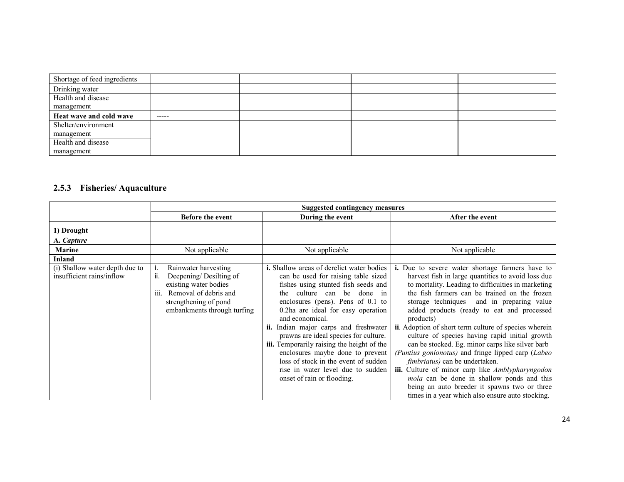| Shortage of feed ingredients |             |  |  |
|------------------------------|-------------|--|--|
| Drinking water               |             |  |  |
| Health and disease           |             |  |  |
| management                   |             |  |  |
| Heat wave and cold wave      | $- - - - -$ |  |  |
| Shelter/environment          |             |  |  |
| management                   |             |  |  |
| Health and disease           |             |  |  |
| management                   |             |  |  |

## 2.5.3 Fisheries/ Aquaculture

|                                                             | <b>Suggested contingency measures</b>                                                                                                                                                 |                                                                                                                                                                                                                                                                                                                                                                                                                                                                                                                                            |                                                                                                                                                                                                                                                                                                                                                                                                                                                                                                                                                                                                                                                                                                                                                                                                  |
|-------------------------------------------------------------|---------------------------------------------------------------------------------------------------------------------------------------------------------------------------------------|--------------------------------------------------------------------------------------------------------------------------------------------------------------------------------------------------------------------------------------------------------------------------------------------------------------------------------------------------------------------------------------------------------------------------------------------------------------------------------------------------------------------------------------------|--------------------------------------------------------------------------------------------------------------------------------------------------------------------------------------------------------------------------------------------------------------------------------------------------------------------------------------------------------------------------------------------------------------------------------------------------------------------------------------------------------------------------------------------------------------------------------------------------------------------------------------------------------------------------------------------------------------------------------------------------------------------------------------------------|
|                                                             | <b>Before the event</b>                                                                                                                                                               | During the event                                                                                                                                                                                                                                                                                                                                                                                                                                                                                                                           | After the event                                                                                                                                                                                                                                                                                                                                                                                                                                                                                                                                                                                                                                                                                                                                                                                  |
| 1) Drought                                                  |                                                                                                                                                                                       |                                                                                                                                                                                                                                                                                                                                                                                                                                                                                                                                            |                                                                                                                                                                                                                                                                                                                                                                                                                                                                                                                                                                                                                                                                                                                                                                                                  |
| A. Capture                                                  |                                                                                                                                                                                       |                                                                                                                                                                                                                                                                                                                                                                                                                                                                                                                                            |                                                                                                                                                                                                                                                                                                                                                                                                                                                                                                                                                                                                                                                                                                                                                                                                  |
| <b>Marine</b>                                               | Not applicable                                                                                                                                                                        | Not applicable                                                                                                                                                                                                                                                                                                                                                                                                                                                                                                                             | Not applicable                                                                                                                                                                                                                                                                                                                                                                                                                                                                                                                                                                                                                                                                                                                                                                                   |
| <b>Inland</b>                                               |                                                                                                                                                                                       |                                                                                                                                                                                                                                                                                                                                                                                                                                                                                                                                            |                                                                                                                                                                                                                                                                                                                                                                                                                                                                                                                                                                                                                                                                                                                                                                                                  |
| (i) Shallow water depth due to<br>insufficient rains/inflow | Rainwater harvesting<br>ii.<br>Deepening/Desilting of<br>existing water bodies<br>Removal of debris and<br>$\overline{111}$ .<br>strengthening of pond<br>embankments through turfing | <b>i.</b> Shallow areas of derelict water bodies<br>can be used for raising table sized<br>fishes using stunted fish seeds and<br>culture can be done in<br>the<br>enclosures (pens). Pens of $0.1$ to<br>0.2ha are ideal for easy operation<br>and economical.<br>Indian major carps and freshwater<br>prawns are ideal species for culture.<br>iii. Temporarily raising the height of the<br>enclosures maybe done to prevent<br>loss of stock in the event of sudden<br>rise in water level due to sudden<br>onset of rain or flooding. | i. Due to severe water shortage farmers have to<br>harvest fish in large quantities to avoid loss due<br>to mortality. Leading to difficulties in marketing<br>the fish farmers can be trained on the frozen<br>storage techniques and in preparing value<br>added products (ready to eat and processed<br>products)<br><b>ii.</b> Adoption of short term culture of species wherein<br>culture of species having rapid initial growth<br>can be stocked. Eg. minor carps like silver barb<br>(Puntius gonionotus) and fringe lipped carp (Labeo<br><i>fimbriatus</i> ) can be undertaken.<br>iii. Culture of minor carp like Amblypharyngodon<br>mola can be done in shallow ponds and this<br>being an auto breeder it spawns two or three<br>times in a year which also ensure auto stocking. |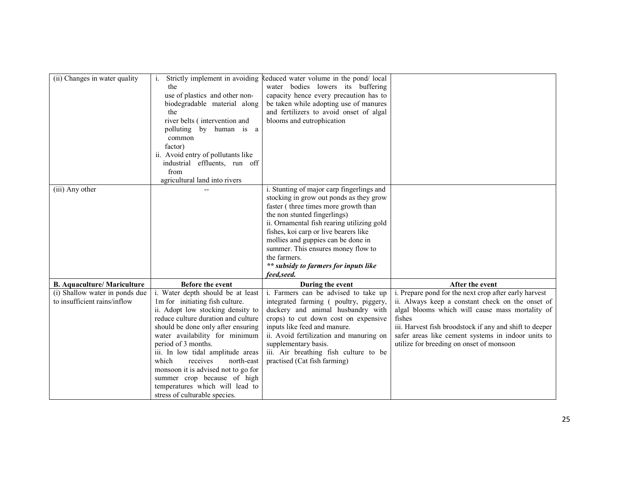| (ii) Changes in water quality      | Strictly implement in avoiding      | Reduced water volume in the pond/local     |                                                         |
|------------------------------------|-------------------------------------|--------------------------------------------|---------------------------------------------------------|
|                                    | the                                 | water bodies lowers its buffering          |                                                         |
|                                    | use of plastics and other non-      | capacity hence every precaution has to     |                                                         |
|                                    | biodegradable material along        | be taken while adopting use of manures     |                                                         |
|                                    | the                                 |                                            |                                                         |
|                                    |                                     | and fertilizers to avoid onset of algal    |                                                         |
|                                    | river belts (intervention and       | blooms and eutrophication                  |                                                         |
|                                    | polluting by human is a             |                                            |                                                         |
|                                    | common                              |                                            |                                                         |
|                                    | factor)                             |                                            |                                                         |
|                                    | ii. Avoid entry of pollutants like  |                                            |                                                         |
|                                    | industrial effluents, run off       |                                            |                                                         |
|                                    | from                                |                                            |                                                         |
|                                    | agricultural land into rivers       |                                            |                                                         |
| (iii) Any other                    |                                     | i. Stunting of major carp fingerlings and  |                                                         |
|                                    |                                     | stocking in grow out ponds as they grow    |                                                         |
|                                    |                                     | faster (three times more growth than       |                                                         |
|                                    |                                     | the non stunted fingerlings)               |                                                         |
|                                    |                                     | ii. Ornamental fish rearing utilizing gold |                                                         |
|                                    |                                     | fishes, koi carp or live bearers like      |                                                         |
|                                    |                                     | mollies and guppies can be done in         |                                                         |
|                                    |                                     | summer. This ensures money flow to         |                                                         |
|                                    |                                     | the farmers.                               |                                                         |
|                                    |                                     | ** subsidy to farmers for inputs like      |                                                         |
|                                    |                                     | feed, seed.                                |                                                         |
| <b>B.</b> Aquaculture/ Mariculture | Before the event                    | During the event                           | After the event                                         |
| (i) Shallow water in ponds due     | i. Water depth should be at least   | i. Farmers can be advised to take up       | i. Prepare pond for the next crop after early harvest   |
| to insufficient rains/inflow       | 1m for initiating fish culture.     | integrated farming (poultry, piggery,      | ii. Always keep a constant check on the onset of        |
|                                    | ii. Adopt low stocking density to   | duckery and animal husbandry with          | algal blooms which will cause mass mortality of         |
|                                    | reduce culture duration and culture | crops) to cut down cost on expensive       | fishes                                                  |
|                                    | should be done only after ensuring  | inputs like feed and manure.               | iii. Harvest fish broodstock if any and shift to deeper |
|                                    | water availability for minimum      | ii. Avoid fertilization and manuring on    | safer areas like cement systems in indoor units to      |
|                                    | period of 3 months.                 | supplementary basis.                       | utilize for breeding on onset of monsoon                |
|                                    | iii. In low tidal amplitude areas   | iii. Air breathing fish culture to be      |                                                         |
|                                    | which<br>receives<br>north-east     | practised (Cat fish farming)               |                                                         |
|                                    | monsoon it is advised not to go for |                                            |                                                         |
|                                    | summer crop because of high         |                                            |                                                         |
|                                    | temperatures which will lead to     |                                            |                                                         |
|                                    | stress of culturable species.       |                                            |                                                         |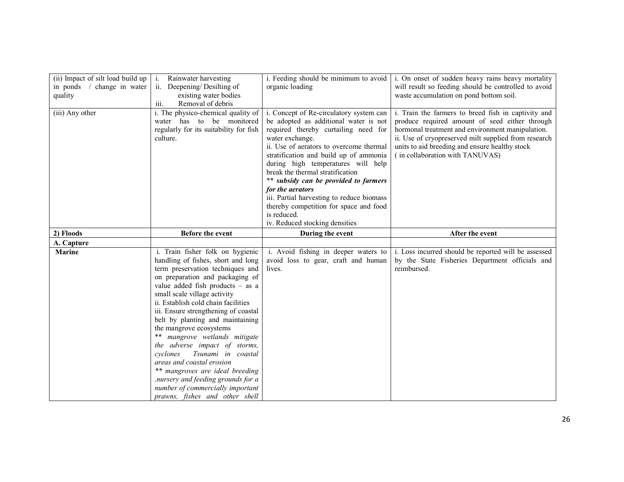| (ii) Impact of silt load build up<br>in ponds<br>/ change in water<br>quality | Rainwater harvesting<br>$\mathbf{1}$ .<br>ii.<br>Deepening/Desilting of<br>existing water bodies<br>iii.<br>Removal of debris                                                                                                                                                                                                                                                                                                                                                                                                                                                                                                                      | i. Feeding should be minimum to avoid<br>organic loading                                                                                                                                                                                                                                                                                                                                                                                                                                                        | i. On onset of sudden heavy rains heavy mortality<br>will result so feeding should be controlled to avoid<br>waste accumulation on pond bottom soil.                                                                                                                                                   |
|-------------------------------------------------------------------------------|----------------------------------------------------------------------------------------------------------------------------------------------------------------------------------------------------------------------------------------------------------------------------------------------------------------------------------------------------------------------------------------------------------------------------------------------------------------------------------------------------------------------------------------------------------------------------------------------------------------------------------------------------|-----------------------------------------------------------------------------------------------------------------------------------------------------------------------------------------------------------------------------------------------------------------------------------------------------------------------------------------------------------------------------------------------------------------------------------------------------------------------------------------------------------------|--------------------------------------------------------------------------------------------------------------------------------------------------------------------------------------------------------------------------------------------------------------------------------------------------------|
| (iii) Any other                                                               | i. The physico-chemical quality of<br>water has to be monitored<br>regularly for its suitability for fish<br>culture.                                                                                                                                                                                                                                                                                                                                                                                                                                                                                                                              | i. Concept of Re-circulatory system can<br>be adopted as additional water is not<br>required thereby curtailing need for<br>water exchange.<br>ii. Use of aerators to overcome thermal<br>stratification and build up of ammonia<br>during high temperatures will help<br>break the thermal stratification<br>** subsidy can be provided to farmers<br>for the aerators<br>iii. Partial harvesting to reduce biomass<br>thereby competition for space and food<br>is reduced.<br>iv. Reduced stocking densities | i. Train the farmers to breed fish in captivity and<br>produce required amount of seed either through<br>hormonal treatment and environment manipulation.<br>ii. Use of cryopreserved milt supplied from research<br>units to aid breeding and ensure healthy stock<br>(in collaboration with TANUVAS) |
| 2) Floods                                                                     | <b>Before the event</b>                                                                                                                                                                                                                                                                                                                                                                                                                                                                                                                                                                                                                            | During the event                                                                                                                                                                                                                                                                                                                                                                                                                                                                                                | After the event                                                                                                                                                                                                                                                                                        |
| A. Capture                                                                    |                                                                                                                                                                                                                                                                                                                                                                                                                                                                                                                                                                                                                                                    |                                                                                                                                                                                                                                                                                                                                                                                                                                                                                                                 |                                                                                                                                                                                                                                                                                                        |
| <b>Marine</b>                                                                 | i. Train fisher folk on hygienic<br>handling of fishes, short and long<br>term preservation techniques and<br>on preparation and packaging of<br>value added fish products $-$ as a<br>small scale village activity<br>ii. Establish cold chain facilities<br>iii. Ensure strengthening of coastal<br>belt by planting and maintaining<br>the mangrove ecosystems<br>** mangrove wetlands mitigate<br>the adverse impact of storms,<br>Tsunami in coastal<br>cyclones<br>areas and coastal erosion<br>** mangroves are ideal breeding<br>, nursery and feeding grounds for a<br>number of commercially important<br>prawns, fishes and other shell | i. Avoid fishing in deeper waters to<br>avoid loss to gear, craft and human<br>lives.                                                                                                                                                                                                                                                                                                                                                                                                                           | i. Loss incurred should be reported will be assessed<br>by the State Fisheries Department officials and<br>reimbursed.                                                                                                                                                                                 |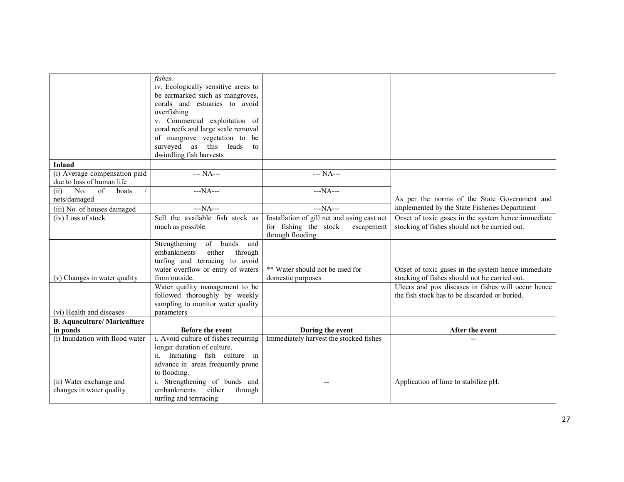|                                    | fishes.                              |                                             |                                                    |
|------------------------------------|--------------------------------------|---------------------------------------------|----------------------------------------------------|
|                                    | iv. Ecologically sensitive areas to  |                                             |                                                    |
|                                    | be earmarked such as mangroves,      |                                             |                                                    |
|                                    | corals and estuaries to avoid        |                                             |                                                    |
|                                    | overfishing                          |                                             |                                                    |
|                                    | v. Commercial exploitation of        |                                             |                                                    |
|                                    | coral reefs and large scale removal  |                                             |                                                    |
|                                    | of mangrove vegetation to be         |                                             |                                                    |
|                                    | this leads<br>surveyed as<br>to      |                                             |                                                    |
|                                    | dwindling fish harvests              |                                             |                                                    |
| <b>Inland</b>                      |                                      |                                             |                                                    |
| (i) Average compensation paid      | --- NA---                            | --- NA---                                   |                                                    |
| due to loss of human life          |                                      |                                             |                                                    |
| No.<br>of<br>(ii)<br>boats         | $--NA--$                             | $--NA--$                                    |                                                    |
| nets/damaged                       |                                      |                                             | As per the norms of the State Government and       |
| (iii) No. of houses damaged        | $--NA--$                             | $--NA--$                                    | implemented by the State Fisheries Department      |
| $(iv)$ Loss of stock               | Sell the available fish stock as     | Installation of gill net and using cast net | Onset of toxic gases in the system hence immediate |
|                                    | much as possible                     | for fishing the stock<br>escapement         | stocking of fishes should not be carried out.      |
|                                    |                                      | through flooding                            |                                                    |
|                                    | Strengthening<br>of bunds<br>and     |                                             |                                                    |
|                                    | embankments<br>either<br>through     |                                             |                                                    |
|                                    | turfing and terracing to avoid       |                                             |                                                    |
|                                    | water overflow or entry of waters    | ** Water should not be used for             | Onset of toxic gases in the system hence immediate |
| (v) Changes in water quality       | from outside.                        | domestic purposes                           | stocking of fishes should not be carried out.      |
|                                    | Water quality management to be       |                                             | Ulcers and pox diseases in fishes will occur hence |
|                                    | followed thoroughly by weekly        |                                             | the fish stock has to be discarded or buried.      |
|                                    | sampling to monitor water quality    |                                             |                                                    |
| (vi) Health and diseases           | parameters                           |                                             |                                                    |
| <b>B.</b> Aquaculture/ Mariculture |                                      |                                             |                                                    |
| in ponds                           | Before the event                     | During the event                            | After the event                                    |
| (i) Inundation with flood water    | i. Avoid culture of fishes requiring | Immediately harvest the stocked fishes      |                                                    |
|                                    | longer duration of culture.          |                                             |                                                    |
|                                    | ii. Initiating fish culture in       |                                             |                                                    |
|                                    | advance in areas frequently prone    |                                             |                                                    |
|                                    | to flooding.                         |                                             |                                                    |
| (ii) Water exchange and            | i. Strengthening of bunds and        |                                             | Application of lime to stabilize pH.               |
| changes in water quality           | embankments<br>either<br>through     |                                             |                                                    |
|                                    | turfing and terrracing               |                                             |                                                    |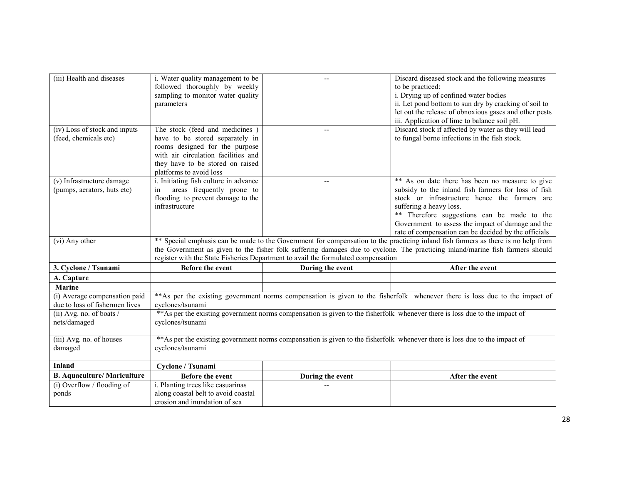| (iii) Health and diseases                       | i. Water quality management to be                                        |                                                                                   | Discard diseased stock and the following measures                                                                                 |
|-------------------------------------------------|--------------------------------------------------------------------------|-----------------------------------------------------------------------------------|-----------------------------------------------------------------------------------------------------------------------------------|
|                                                 | followed thoroughly by weekly                                            |                                                                                   | to be practiced:                                                                                                                  |
|                                                 | sampling to monitor water quality                                        |                                                                                   | i. Drying up of confined water bodies                                                                                             |
|                                                 | parameters                                                               |                                                                                   | ii. Let pond bottom to sun dry by cracking of soil to                                                                             |
|                                                 |                                                                          |                                                                                   | let out the release of obnoxious gases and other pests                                                                            |
|                                                 |                                                                          |                                                                                   | iii. Application of lime to balance soil pH.                                                                                      |
| (iv) Loss of stock and inputs                   | The stock (feed and medicines)                                           |                                                                                   | Discard stock if affected by water as they will lead                                                                              |
| (feed, chemicals etc)                           | have to be stored separately in                                          |                                                                                   | to fungal borne infections in the fish stock.                                                                                     |
|                                                 | rooms designed for the purpose                                           |                                                                                   |                                                                                                                                   |
|                                                 | with air circulation facilities and                                      |                                                                                   |                                                                                                                                   |
|                                                 | they have to be stored on raised                                         |                                                                                   |                                                                                                                                   |
|                                                 | platforms to avoid loss                                                  |                                                                                   |                                                                                                                                   |
| (v) Infrastructure damage                       | i. Initiating fish culture in advance                                    | $\qquad \qquad -$                                                                 | ** As on date there has been no measure to give                                                                                   |
| (pumps, aerators, huts etc)                     | areas frequently prone to<br>in                                          |                                                                                   | subsidy to the inland fish farmers for loss of fish                                                                               |
|                                                 | flooding to prevent damage to the                                        |                                                                                   | stock or infrastructure hence the farmers are                                                                                     |
|                                                 | infrastructure                                                           |                                                                                   | suffering a heavy loss.                                                                                                           |
|                                                 |                                                                          |                                                                                   | ** Therefore suggestions can be made to the                                                                                       |
|                                                 |                                                                          |                                                                                   | Government to assess the impact of damage and the                                                                                 |
|                                                 |                                                                          |                                                                                   | rate of compensation can be decided by the officials                                                                              |
| (vi) Any other                                  |                                                                          |                                                                                   | ** Special emphasis can be made to the Government for compensation to the practicing inland fish farmers as there is no help from |
|                                                 |                                                                          |                                                                                   | the Government as given to the fisher folk suffering damages due to cyclone. The practicing inland/marine fish farmers should     |
|                                                 |                                                                          | register with the State Fisheries Department to avail the formulated compensation |                                                                                                                                   |
| 3. Cyclone / Tsunami                            | Before the event                                                         | During the event                                                                  | After the event                                                                                                                   |
| A. Capture                                      |                                                                          |                                                                                   |                                                                                                                                   |
| Marine                                          |                                                                          |                                                                                   |                                                                                                                                   |
|                                                 |                                                                          |                                                                                   |                                                                                                                                   |
|                                                 |                                                                          |                                                                                   |                                                                                                                                   |
| (i) Average compensation paid                   |                                                                          |                                                                                   | **As per the existing government norms compensation is given to the fisherfolk whenever there is loss due to the impact of        |
| due to loss of fishermen lives                  | cyclones/tsunami                                                         |                                                                                   |                                                                                                                                   |
| (ii) Avg. no. of boats /                        |                                                                          |                                                                                   | ** As per the existing government norms compensation is given to the fisherfolk whenever there is loss due to the impact of       |
| nets/damaged                                    | cyclones/tsunami                                                         |                                                                                   |                                                                                                                                   |
|                                                 |                                                                          |                                                                                   |                                                                                                                                   |
| (iii) Avg. no. of houses                        |                                                                          |                                                                                   | ** As per the existing government norms compensation is given to the fisherfolk whenever there is loss due to the impact of       |
| damaged                                         | cyclones/tsunami                                                         |                                                                                   |                                                                                                                                   |
| <b>Inland</b>                                   |                                                                          |                                                                                   |                                                                                                                                   |
| <b>B.</b> Aquaculture/ Mariculture              | Cyclone / Tsunami                                                        |                                                                                   |                                                                                                                                   |
|                                                 | Before the event                                                         | During the event                                                                  | After the event                                                                                                                   |
| $\overline{(i)$ Overflow / flooding of<br>ponds | i. Planting trees like casuarinas<br>along coastal belt to avoid coastal |                                                                                   |                                                                                                                                   |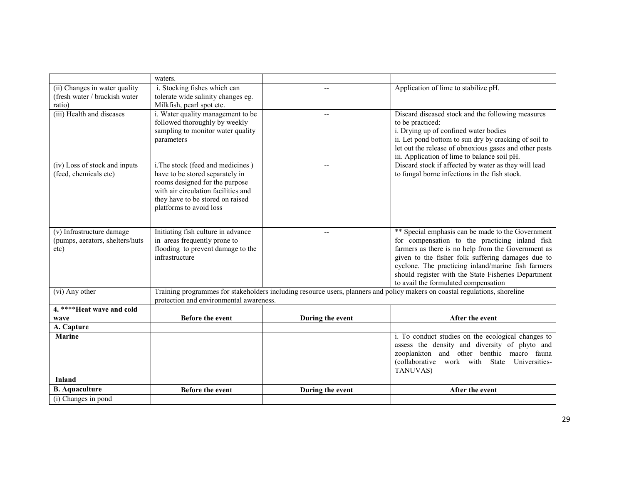|                                 | waters.                                                            |                   |                                                                                                                             |
|---------------------------------|--------------------------------------------------------------------|-------------------|-----------------------------------------------------------------------------------------------------------------------------|
| (ii) Changes in water quality   | i. Stocking fishes which can                                       |                   | Application of lime to stabilize pH.                                                                                        |
| (fresh water / brackish water   | tolerate wide salinity changes eg.                                 |                   |                                                                                                                             |
| ratio)                          | Milkfish, pearl spot etc.                                          |                   |                                                                                                                             |
| (iii) Health and diseases       | i. Water quality management to be<br>followed thoroughly by weekly | $\qquad \qquad -$ | Discard diseased stock and the following measures                                                                           |
|                                 | sampling to monitor water quality                                  |                   | to be practiced:<br>i. Drying up of confined water bodies                                                                   |
|                                 | parameters                                                         |                   | ii. Let pond bottom to sun dry by cracking of soil to                                                                       |
|                                 |                                                                    |                   | let out the release of obnoxious gases and other pests                                                                      |
|                                 |                                                                    |                   | iii. Application of lime to balance soil pH.                                                                                |
| (iv) Loss of stock and inputs   | i. The stock (feed and medicines)                                  |                   | Discard stock if affected by water as they will lead                                                                        |
| (feed, chemicals etc)           | have to be stored separately in                                    |                   | to fungal borne infections in the fish stock.                                                                               |
|                                 | rooms designed for the purpose                                     |                   |                                                                                                                             |
|                                 | with air circulation facilities and                                |                   |                                                                                                                             |
|                                 | they have to be stored on raised<br>platforms to avoid loss        |                   |                                                                                                                             |
|                                 |                                                                    |                   |                                                                                                                             |
|                                 |                                                                    |                   |                                                                                                                             |
| (v) Infrastructure damage       | Initiating fish culture in advance                                 | $\overline{a}$    | ** Special emphasis can be made to the Government                                                                           |
| (pumps, aerators, shelters/huts | in areas frequently prone to                                       |                   | for compensation to the practicing inland fish                                                                              |
| etc)                            | flooding to prevent damage to the                                  |                   | farmers as there is no help from the Government as                                                                          |
|                                 | infrastructure                                                     |                   | given to the fisher folk suffering damages due to<br>cyclone. The practicing inland/marine fish farmers                     |
|                                 |                                                                    |                   | should register with the State Fisheries Department                                                                         |
|                                 |                                                                    |                   | to avail the formulated compensation                                                                                        |
| (vi) Any other                  |                                                                    |                   | Training programmes for stakeholders including resource users, planners and policy makers on coastal regulations, shoreline |
|                                 | protection and environmental awareness.                            |                   |                                                                                                                             |
| 4. **** Heat wave and cold      |                                                                    |                   |                                                                                                                             |
| wave                            | Before the event                                                   | During the event  | After the event                                                                                                             |
| A. Capture                      |                                                                    |                   |                                                                                                                             |
| <b>Marine</b>                   |                                                                    |                   | i. To conduct studies on the ecological changes to<br>assess the density and diversity of phyto and                         |
|                                 |                                                                    |                   | zooplankton and other benthic macro fauna                                                                                   |
|                                 |                                                                    |                   | (collaborative work with State Universities-                                                                                |
|                                 |                                                                    |                   | TANUVAS)                                                                                                                    |
| <b>Inland</b>                   |                                                                    |                   |                                                                                                                             |
| <b>B.</b> Aquaculture           | <b>Before the event</b>                                            | During the event  | After the event                                                                                                             |
| (i) Changes in pond             |                                                                    |                   |                                                                                                                             |